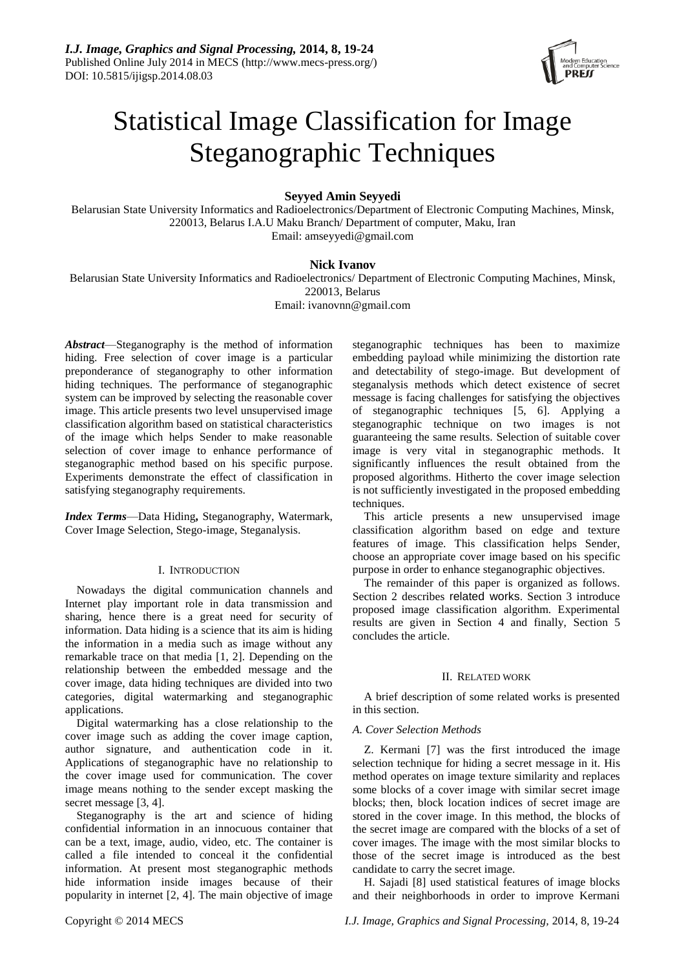

# Statistical Image Classification for Image Steganographic Techniques

**Seyyed Amin Seyyedi**

Belarusian State University Informatics and Radioelectronics/Department of Electronic Computing Machines, Minsk, 220013, Belarus I.A.U Maku Branch/ Department of computer, Maku, Iran Email: amseyyedi@gmail.com

# **Nick Ivanov**

Belarusian State University Informatics and Radioelectronics/ Department of Electronic Computing Machines, Minsk, 220013, Belarus Email: ivanovnn@gmail.com

*Abstract*—Steganography is the method of information hiding. Free selection of cover image is a particular preponderance of steganography to other information hiding techniques. The performance of steganographic system can be improved by selecting the reasonable cover image. This article presents two level unsupervised image classification algorithm based on statistical characteristics of the image which helps Sender to make reasonable selection of cover image to enhance performance of steganographic method based on his specific purpose. Experiments demonstrate the effect of classification in satisfying steganography requirements.

*Index Terms*—Data Hiding**,** Steganography, Watermark, Cover Image Selection, Stego-image, Steganalysis.

# I. INTRODUCTION

Nowadays the digital communication channels and Internet play important role in data transmission and sharing, hence there is a great need for security of information. Data hiding is a science that its aim is hiding the information in a media such as image without any remarkable trace on that media [1, 2]. Depending on the relationship between the embedded message and the cover image, data hiding techniques are divided into two categories, digital watermarking and steganographic applications.

Digital watermarking has a close relationship to the cover image such as adding the cover image caption, author signature, and authentication code in it. Applications of steganographic have no relationship to the cover image used for communication. The cover image means nothing to the sender except masking the secret message [3, 4].

Steganography is the art and science of hiding confidential information in an innocuous container that can be a text, image, audio, video, etc. The container is called a file intended to conceal it the confidential information. At present most steganographic methods hide information inside images because of their popularity in internet [2, 4]. The main objective of image steganographic techniques has been to maximize embedding payload while minimizing the distortion rate and detectability of stego-image. But development of steganalysis methods which detect existence of secret message is facing challenges for satisfying the objectives of steganographic techniques [5, 6]. Applying a steganographic technique on two images is not guaranteeing the same results. Selection of suitable cover image is very vital in steganographic methods. It significantly influences the result obtained from the proposed algorithms. Hitherto the cover image selection is not sufficiently investigated in the proposed embedding techniques.

This article presents a new unsupervised image classification algorithm based on edge and texture features of image. This classification helps Sender, choose an appropriate cover image based on his specific purpose in order to enhance steganographic objectives.

The remainder of this paper is organized as follows. Section 2 describes related works. Section 3 introduce proposed image classification algorithm. Experimental results are given in Section 4 and finally, Section 5 concludes the article.

# II. RELATED WORK

A brief description of some related works is presented in this section.

# *A. Cover Selection Methods*

Z. Kermani [7] was the first introduced the image selection technique for hiding a secret message in it. His method operates on image texture similarity and replaces some blocks of a cover image with similar secret image blocks; then, block location indices of secret image are stored in the cover image. In this method, the blocks of the secret image are compared with the blocks of a set of cover images. The image with the most similar blocks to those of the secret image is introduced as the best candidate to carry the secret image.

H. Sajadi [8] used statistical features of image blocks and their neighborhoods in order to improve Kermani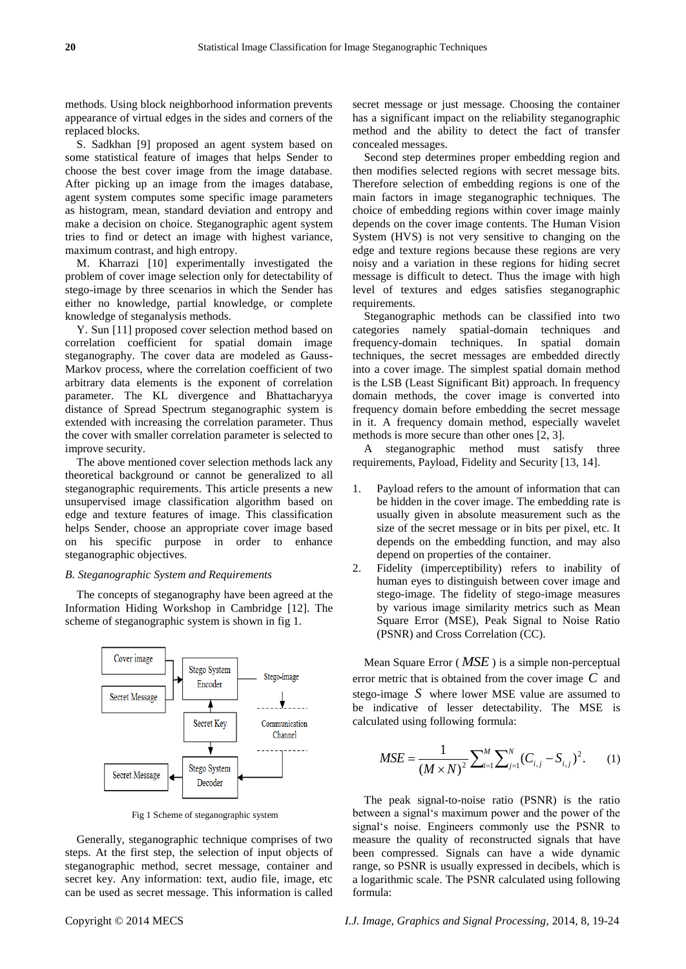methods. Using block neighborhood information prevents appearance of virtual edges in the sides and corners of the replaced blocks.

S. Sadkhan [9] proposed an agent system based on some statistical feature of images that helps Sender to choose the best cover image from the image database. After picking up an image from the images database, agent system computes some specific image parameters as histogram, mean, standard deviation and entropy and make a decision on choice. Steganographic agent system tries to find or detect an image with highest variance, maximum contrast, and high entropy.

M. Kharrazi [10] experimentally investigated the problem of cover image selection only for detectability of stego-image by three scenarios in which the Sender has either no knowledge, partial knowledge, or complete knowledge of steganalysis methods.

Y. Sun [11] proposed cover selection method based on correlation coefficient for spatial domain image steganography. The cover data are modeled as Gauss-Markov process, where the correlation coefficient of two arbitrary data elements is the exponent of correlation parameter. The KL divergence and Bhattacharyya distance of Spread Spectrum steganographic system is extended with increasing the correlation parameter. Thus the cover with smaller correlation parameter is selected to improve security.

The above mentioned cover selection methods lack any theoretical background or cannot be generalized to all steganographic requirements. This article presents a new unsupervised image classification algorithm based on edge and texture features of image. This classification helps Sender, choose an appropriate cover image based on his specific purpose in order to enhance steganographic objectives.

#### *B. Steganographic System and Requirements*

The concepts of steganography have been agreed at the Information Hiding Workshop in Cambridge [12]. The scheme of steganographic system is shown in fig 1.



Fig 1 Scheme of steganographic system

Generally, steganographic technique comprises of two steps. At the first step, the selection of input objects of steganographic method, secret message, container and secret key. Any information: text, audio file, image, etc can be used as secret message. This information is called

secret message or just message. Choosing the container has a significant impact on the reliability steganographic method and the ability to detect the fact of transfer concealed messages.

Second step determines proper embedding region and then modifies selected regions with secret message bits. Therefore selection of embedding regions is one of the main factors in image steganographic techniques. The choice of embedding regions within cover image mainly depends on the cover image contents. The Human Vision System (HVS) is not very sensitive to changing on the edge and texture regions because these regions are very noisy and a variation in these regions for hiding secret message is difficult to detect. Thus the image with high level of textures and edges satisfies steganographic requirements.

Steganographic methods can be classified into two categories namely spatial-domain techniques and frequency-domain techniques. In spatial domain techniques, the secret messages are embedded directly into a cover image. The simplest spatial domain method is the LSB (Least Significant Bit) approach. In frequency domain methods, the cover image is converted into frequency domain before embedding the secret message in it. A frequency domain method, especially wavelet methods is more secure than other ones [2, 3].

A steganographic method must satisfy three requirements, Payload, Fidelity and Security [13, 14].

- 1. Payload refers to the amount of information that can be hidden in the cover image. The embedding rate is usually given in absolute measurement such as the size of the secret message or in bits per pixel, etc. It depends on the embedding function, and may also depend on properties of the container.
- 2. Fidelity (imperceptibility) refers to inability of human eyes to distinguish between cover image and stego-image. The fidelity of stego-image measures by various image similarity metrics such as Mean Square Error (MSE), Peak Signal to Noise Ratio (PSNR) and Cross Correlation (CC).

Mean Square Error ( *MSE* ) is a simple non-perceptual error metric that is obtained from the cover image *C* and stego-image *S* where lower MSE value are assumed to be indicative of lesser detectability. The MSE is calculated using following formula:

$$
MSE = \frac{1}{(M \times N)^2} \sum_{i=1}^{M} \sum_{j=1}^{N} (C_{i,j} - S_{i,j})^2.
$$
 (1)

The peak signal-to-noise ratio (PSNR) is the ratio between a signal"s maximum power and the power of the signal"s noise. Engineers commonly use the PSNR to measure the quality of reconstructed signals that have been compressed. Signals can have a wide dynamic range, so PSNR is usually expressed in decibels, which is a logarithmic scale. The PSNR calculated using following formula: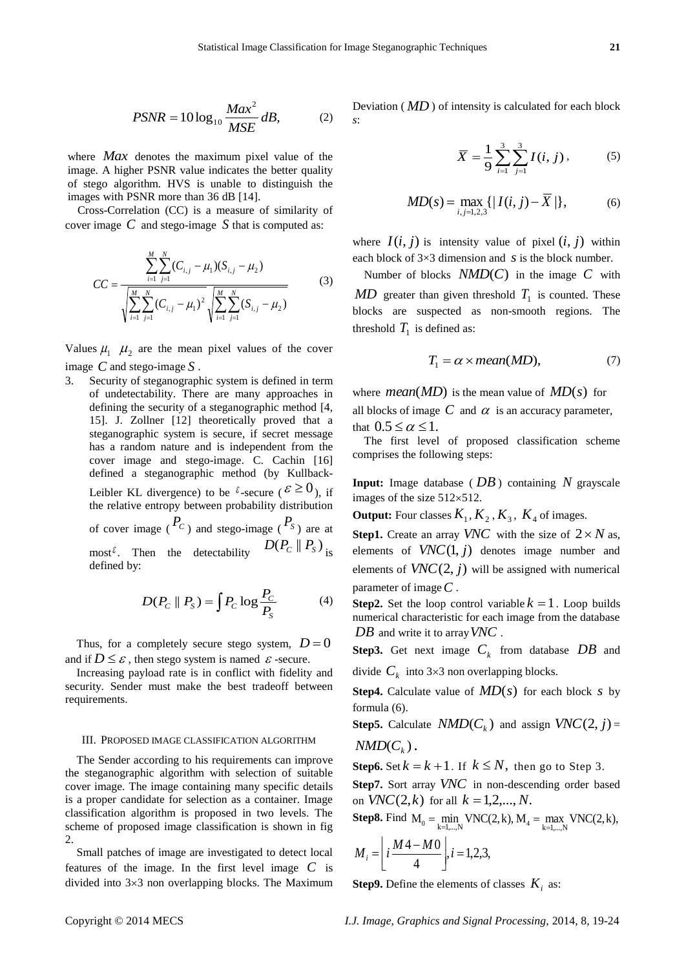$$
PSNR = 10\log_{10}\frac{Max^2}{MSE}dB, \tag{2}
$$

where *Max* denotes the maximum pixel value of the image. A higher PSNR value indicates the better quality of stego algorithm. HVS is unable to distinguish the images with PSNR more than 36 dB [14].

Cross-Correlation (CC) is a measure of similarity of cover image *C* and stego-image *S* that is computed as:

$$
CC = \frac{\sum_{i=1}^{M} \sum_{j=1}^{N} (C_{i,j} - \mu_1)(S_{i,j} - \mu_2)}{\sqrt{\sum_{i=1}^{M} \sum_{j=1}^{N} (C_{i,j} - \mu_1)^2} \sqrt{\sum_{i=1}^{M} \sum_{j=1}^{N} (S_{i,j} - \mu_2)}}
$$
(3)

Values  $\mu_1$   $\mu_2$  are the mean pixel values of the cover image *C* and stego-image *S* .

3. Security of steganographic system is defined in term of undetectability. There are many approaches in defining the security of a steganographic method [4, 15]. J. Zollner [12] theoretically proved that a steganographic system is secure, if secret message has a random nature and is independent from the cover image and stego-image. C. Cachin [16] defined a steganographic method (by Kullback-Leibler KL divergence) to be  $\ell$ -secure ( $\mathcal{E} \ge 0$ ), if the relative entropy between probability distribution of cover image ( $P_c$ ) and stego-image ( $P_s$ ) are at most<sup> $\delta$ </sup>. Then the detectability  $D(P_C \parallel P_S)$  is defined by:

$$
D(P_C \parallel P_S) = \int P_C \log \frac{P_C}{P_S} \tag{4}
$$

Thus, for a completely secure stego system,  $D=0$ and if  $D \leq \varepsilon$ , then stego system is named  $\varepsilon$ -secure.

Increasing payload rate is in conflict with fidelity and security. Sender must make the best tradeoff between requirements.

## III. PROPOSED IMAGE CLASSIFICATION ALGORITHM

The Sender according to his requirements can improve the steganographic algorithm with selection of suitable cover image. The image containing many specific details is a proper candidate for selection as a container. Image classification algorithm is proposed in two levels. The scheme of proposed image classification is shown in fig 2.

Small patches of image are investigated to detect local features of the image. In the first level image *C* is divided into  $3\times3$  non overlapping blocks. The Maximum

Deviation ( *MD* ) of intensity is calculated for each block *s*:

$$
\overline{X} = \frac{1}{9} \sum_{i=1}^{3} \sum_{j=1}^{3} I(i, j), \qquad (5)
$$

$$
MD(s) = \max_{i,j=1,2,3} \{ |I(i,j) - \overline{X}| \},
$$
 (6)

where  $I(i, j)$  is intensity value of pixel  $(i, j)$  within each block of  $3 \times 3$  dimension and *s* is the block number.

Number of blocks  $NMD(C)$  in the image  $C$  with  $MD$  greater than given threshold  $T_1$  is counted. These blocks are suspected as non-smooth regions. The threshold  $T_1$  is defined as:

$$
T_1 = \alpha \times mean(MD), \tag{7}
$$

where *mean*(*MD*) is the mean value of  $MD(s)$  for all blocks of image  $C$  and  $\alpha$  is an accuracy parameter, that  $0.5 \leq \alpha \leq 1$ .

The first level of proposed classification scheme comprises the following steps:

**Input:** Image database ( *DB* ) containing *N* grayscale images of the size  $512\times512$ .

**Output:** Four classes  $K_1, K_2, K_3, K_4$  of images.

**Step1.** Create an array *VNC* with the size of  $2 \times N$  as, elements of  $VNC(1, j)$  denotes image number and elements of  $VNC(2, j)$  will be assigned with numerical parameter of image *C* .

**Step2.** Set the loop control variable  $k = 1$ . Loop builds numerical characteristic for each image from the database *DB* and write it to array *VNC* .

**Step3.** Get next image  $C_k$  from database  $DB$  and

divide  $C_k$  into 3×3 non overlapping blocks.

**Step4.** Calculate value of  $MD(s)$  for each block s by formula (6).

**Step5.** Calculate  $NMD(C_k)$  and assign  $VNC(2, j) =$  $NMD(C<sub>k</sub>)$ .

**Step6.** Set  $k = k + 1$ . If  $k \leq N$ , then go to Step 3.

**Step7.** Sort array *VNC* in non-descending order based on  $VNC(2, k)$  for all  $k = 1, 2, ..., N$ .

on *VNC*(2,*k*) for all  $k = 1, 2, ..., N$ .<br>**Step8.** Find  $M_0 = \min_{k=1,...,N}$  VNC(2, k),  $M_4 = \max_{k=1,...,N}$  VNC(2, k),

$$
M_i = \left\lfloor i \frac{M4 - M0}{4} \right\rfloor, i = 1, 2, 3,
$$

**Step9.** Define the elements of classes  $K_i$  as: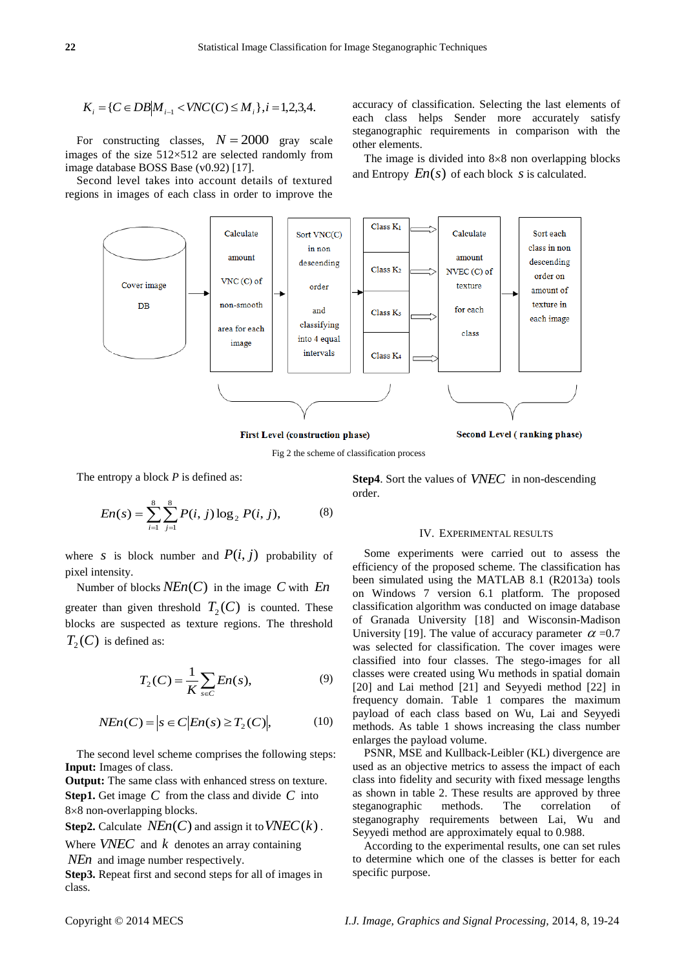$$
K_i = \{ C \in DB | M_{i-1} < VNC(C) \le M_i \}, i = 1, 2, 3, 4.
$$

For constructing classes,  $N = 2000$  gray scale images of the size  $512 \times 512$  are selected randomly from image database BOSS Base (v0.92) [17].

Second level takes into account details of textured regions in images of each class in order to improve the accuracy of classification. Selecting the last elements of each class helps Sender more accurately satisfy steganographic requirements in comparison with the other elements.

The image is divided into  $8 \times 8$  non overlapping blocks and Entropy  $En(s)$  of each block  $s$  is calculated.



First Level (construction phase)

Fig 2 the scheme of classification process

The entropy a block *P* is defined as:

$$
En(s) = \sum_{i=1}^{8} \sum_{j=1}^{8} P(i, j) \log_2 P(i, j),
$$
 (8)

where *s* is block number and  $P(i, j)$  probability of pixel intensity.

Number of blocks *NEn*(*C*) in the image *C* with *En* greater than given threshold  $T_2(C)$  is counted. These blocks are suspected as texture regions. The threshold  $T_2(C)$  is defined as:

$$
T_2(C) = \frac{1}{K} \sum_{s \in C} En(s),\tag{9}
$$

$$
NEn(C) = |s \in C | En(s) \ge T_2(C)|, \tag{10}
$$

The second level scheme comprises the following steps: **Input:** Images of class.

**Output:** The same class with enhanced stress on texture. **Step1.** Get image *C* from the class and divide *C* into 8×8 non-overlapping blocks.

**Step2.** Calculate  $NEn(C)$  and assign it to  $VNEC(k)$ .

Where  $VNEC$  and  $k$  denotes an array containing

*NEn* and image number respectively.

**Step3.** Repeat first and second steps for all of images in class.

**Step4**. Sort the values of *VNEC* in non-descending order.

### IV. EXPERIMENTAL RESULTS

Some experiments were carried out to assess the efficiency of the proposed scheme. The classification has been simulated using the MATLAB 8.1 (R2013a) tools on Windows 7 version 6.1 platform. The proposed classification algorithm was conducted on image database of Granada University [18] and Wisconsin-Madison University [19]. The value of accuracy parameter  $\alpha = 0.7$ was selected for classification. The cover images were classified into four classes. The stego-images for all classes were created using Wu methods in spatial domain [20] and Lai method [21] and Seyyedi method [22] in frequency domain. Table 1 compares the maximum payload of each class based on Wu, Lai and Seyyedi methods. As table 1 shows increasing the class number enlarges the payload volume.

PSNR, MSE and Kullback-Leibler (KL) divergence are used as an objective metrics to assess the impact of each class into fidelity and security with fixed message lengths as shown in table 2. These results are approved by three steganographic methods. The correlation of steganography requirements between Lai, Wu and Seyyedi method are approximately equal to 0.988.

According to the experimental results, one can set rules to determine which one of the classes is better for each specific purpose.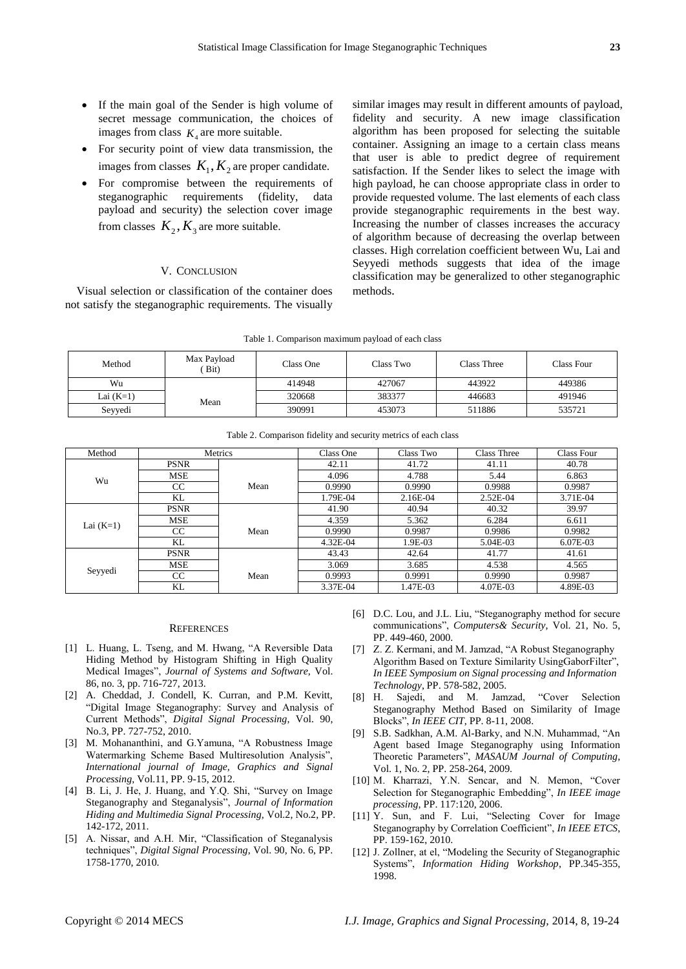- If the main goal of the Sender is high volume of secret message communication, the choices of images from class  $K_4$  are more suitable.
- For security point of view data transmission, the images from classes  $K_1, K_2$  are proper candidate.
- For compromise between the requirements of steganographic requirements (fidelity, data payload and security) the selection cover image from classes  $K_2, K_3$  are more suitable.

## V. CONCLUSION

Visual selection or classification of the container does not satisfy the steganographic requirements. The visually similar images may result in different amounts of payload, fidelity and security. A new image classification algorithm has been proposed for selecting the suitable container. Assigning an image to a certain class means that user is able to predict degree of requirement satisfaction. If the Sender likes to select the image with high payload, he can choose appropriate class in order to provide requested volume. The last elements of each class provide steganographic requirements in the best way. Increasing the number of classes increases the accuracy of algorithm because of decreasing the overlap between classes. High correlation coefficient between Wu, Lai and Seyyedi methods suggests that idea of the image classification may be generalized to other steganographic methods.

| Table 1. Comparison maximum payload of each class |                     |           |           |             |            |  |  |  |
|---------------------------------------------------|---------------------|-----------|-----------|-------------|------------|--|--|--|
| Method                                            | Max Payload<br>Bit) | Class One | Class Two | Class Three | Class Four |  |  |  |
| Wu                                                |                     | 414948    | 427067    | 443922      | 449386     |  |  |  |
| Lai (K=1)                                         | Mean                | 320668    | 383377    | 446683      | 491946     |  |  |  |
| Seyyedi                                           |                     | 390991    | 453073    | 511886      | 535721     |  |  |  |

|  | Table 2. Comparison fidelity and security metrics of each class |  |  |
|--|-----------------------------------------------------------------|--|--|
|  |                                                                 |  |  |

| Method      | Metrics       |      | Class One | Class Two | Class Three | Class Four |
|-------------|---------------|------|-----------|-----------|-------------|------------|
| Wu          | <b>PSNR</b>   |      | 42.11     | 41.72     | 41.11       | 40.78      |
|             | <b>MSE</b>    |      | 4.096     | 4.788     | 5.44        | 6.863      |
|             | CC            | Mean | 0.9990    | 0.9990    | 0.9988      | 0.9987     |
|             | KL            |      | 1.79E-04  | 2.16E-04  | $2.52E-04$  | 3.71E-04   |
| Lai $(K=1)$ | <b>PSNR</b>   |      | 41.90     | 40.94     | 40.32       | 39.97      |
|             | <b>MSE</b>    |      | 4.359     | 5.362     | 6.284       | 6.611      |
|             | <sub>CC</sub> | Mean | 0.9990    | 0.9987    | 0.9986      | 0.9982     |
|             | KL            |      | 4.32E-04  | 1.9E-03   | 5.04E-03    | 6.07E-03   |
| Seyyedi     | <b>PSNR</b>   |      | 43.43     | 42.64     | 41.77       | 41.61      |
|             | <b>MSE</b>    |      | 3.069     | 3.685     | 4.538       | 4.565      |
|             | CC            | Mean | 0.9993    | 0.9991    | 0.9990      | 0.9987     |
|             | KL            |      | 3.37E-04  | 1.47E-03  | 4.07E-03    | 4.89E-03   |

#### **REFERENCES**

- [1] L. Huang, L. Tseng, and M. Hwang, "A Reversible Data Hiding Method by Histogram Shifting in High Quality Medical Images", *Journal of Systems and Software*, Vol. 86, no. 3, pp. 716-727, 2013.
- [2] A. Cheddad, J. Condell, K. Curran, and P.M. Kevitt, "Digital Image Steganography: Survey and Analysis of Current Methods", *Digital Signal Processing*, Vol. 90, No.3, PP. 727-752, 2010.
- [3] M. Mohananthini, and G.Yamuna, "A Robustness Image Watermarking Scheme Based Multiresolution Analysis", *International journal of Image, Graphics and Signal Processing*, Vol.11, PP. 9-15, 2012.
- [4] B. Li, J. He, J. Huang, and Y.Q. Shi, "Survey on Image Steganography and Steganalysis", *Journal of Information Hiding and Multimedia Signal Processing,* Vol.2, No.2, PP. 142-172, 2011.
- [5] A. Nissar, and A.H. Mir, "Classification of Steganalysis techniques", *Digital Signal Processing*, Vol. 90, No. 6, PP. 1758-1770, 2010.
- [6] D.C. Lou, and J.L. Liu, "Steganography method for secure communications", *Computers& Security*, Vol. 21, No. 5, PP. 449-460, 2000.
- [7] Z. Z. Kermani, and M. Jamzad, "A Robust Steganography Algorithm Based on Texture Similarity UsingGaborFilter", *In IEEE Symposium on Signal processing and Information Technology*, PP. 578-582, 2005.
- [8] H. Sajedi, and M. Jamzad, "Cover Selection Steganography Method Based on Similarity of Image Blocks", *In IEEE CIT*, PP. 8-11, 2008.
- [9] S.B. Sadkhan, A.M. Al-Barky, and N.N. Muhammad, "An Agent based Image Steganography using Information Theoretic Parameters", *MASAUM Journal of Computing*, Vol. 1, No. 2, PP. 258-264, 2009.
- [10] M. Kharrazi, Y.N. Sencar, and N. Memon, "Cover Selection for Steganographic Embedding", *In IEEE image processing*, PP. 117:120, 2006.
- [11] Y. Sun, and F. Lui, "Selecting Cover for Image Steganography by Correlation Coefficient", *In IEEE ETCS*, PP. 159-162, 2010.
- [12] J. Zollner, at el, "Modeling the Security of Steganographic Systems", *Information Hiding Workshop*, PP.345-355, 1998.